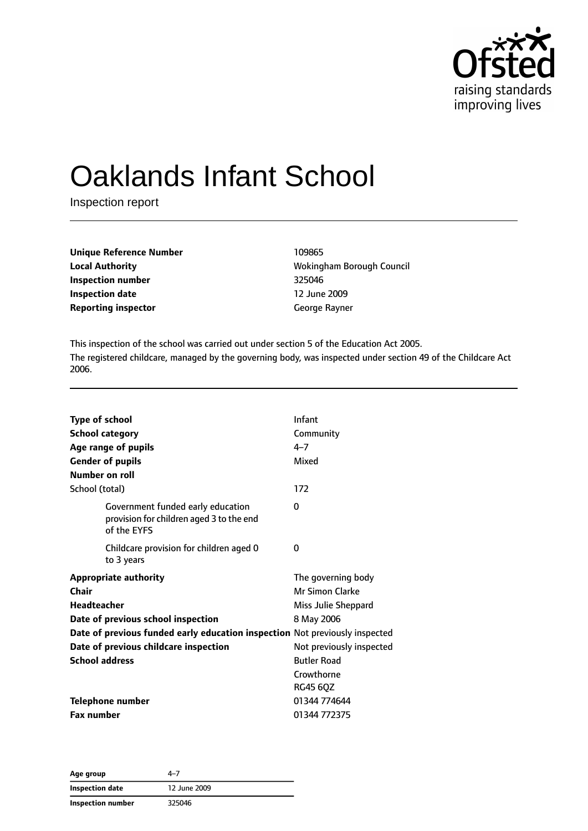

# Oaklands Infant School

Inspection report

| <b>Unique Reference Number</b> | 109865        |
|--------------------------------|---------------|
| <b>Local Authority</b>         | Wokingham Bo  |
| Inspection number              | 325046        |
| <b>Inspection date</b>         | 12 June 2009  |
| <b>Reporting inspector</b>     | George Rayner |

**Local Authority** Wokingham Borough Council **Inspection number** 325046 **Inspection date** 12 June 2009

This inspection of the school was carried out under section 5 of the Education Act 2005. The registered childcare, managed by the governing body, was inspected under section 49 of the Childcare Act 2006.

| Type of school        |                                                                                              | Infant                   |
|-----------------------|----------------------------------------------------------------------------------------------|--------------------------|
|                       | <b>School category</b>                                                                       | Community                |
|                       | Age range of pupils                                                                          | $4 - 7$                  |
|                       | <b>Gender of pupils</b>                                                                      | Mixed                    |
| Number on roll        |                                                                                              |                          |
| School (total)        |                                                                                              | 172                      |
|                       | Government funded early education<br>provision for children aged 3 to the end<br>of the EYFS | 0                        |
|                       | Childcare provision for children aged 0<br>to 3 years                                        | 0                        |
|                       | <b>Appropriate authority</b>                                                                 | The governing body       |
| Chair                 |                                                                                              | <b>Mr Simon Clarke</b>   |
| <b>Headteacher</b>    |                                                                                              | Miss Julie Sheppard      |
|                       | Date of previous school inspection                                                           | 8 May 2006               |
|                       | Date of previous funded early education inspection Not previously inspected                  |                          |
|                       | Date of previous childcare inspection                                                        | Not previously inspected |
| <b>School address</b> |                                                                                              | <b>Butler Road</b>       |
|                       |                                                                                              | Crowthorne               |
|                       |                                                                                              | <b>RG45 60Z</b>          |
|                       | <b>Telephone number</b>                                                                      | 01344 774644             |
| <b>Fax number</b>     |                                                                                              | 01344 772375             |

**Age group** 4–7 **Inspection date** 12 June 2009 **Inspection number** 325046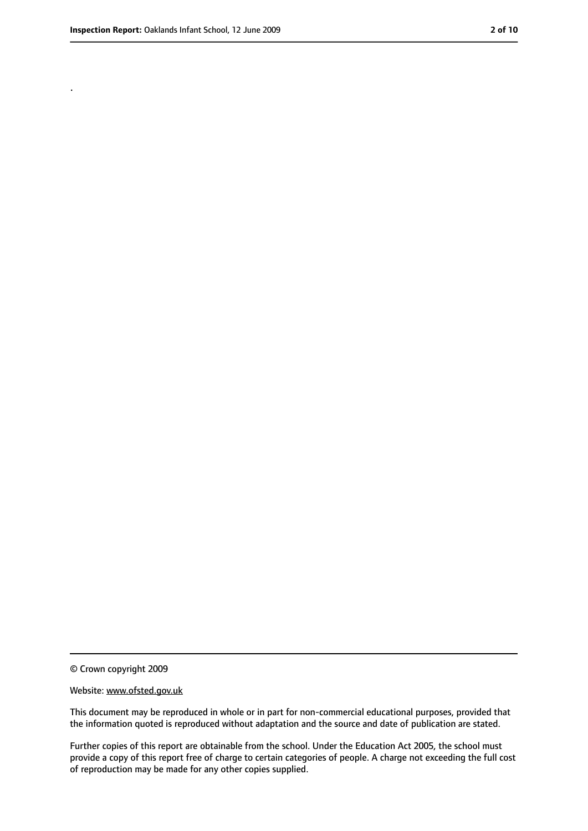.

<sup>©</sup> Crown copyright 2009

Website: www.ofsted.gov.uk

This document may be reproduced in whole or in part for non-commercial educational purposes, provided that the information quoted is reproduced without adaptation and the source and date of publication are stated.

Further copies of this report are obtainable from the school. Under the Education Act 2005, the school must provide a copy of this report free of charge to certain categories of people. A charge not exceeding the full cost of reproduction may be made for any other copies supplied.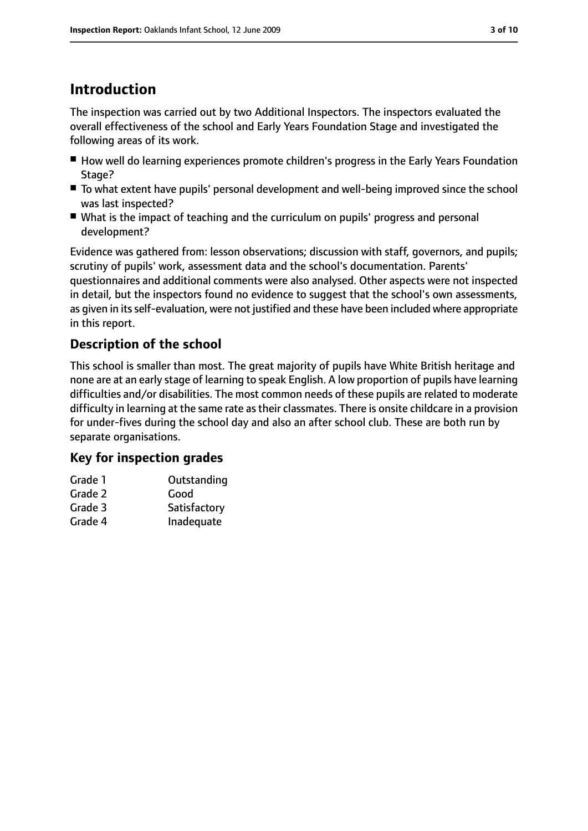## **Introduction**

The inspection was carried out by two Additional Inspectors. The inspectors evaluated the overall effectiveness of the school and Early Years Foundation Stage and investigated the following areas of its work.

- How well do learning experiences promote children's progress in the Early Years Foundation Stage?
- To what extent have pupils' personal development and well-being improved since the school was last inspected?
- What is the impact of teaching and the curriculum on pupils' progress and personal development?

Evidence was gathered from: lesson observations; discussion with staff, governors, and pupils; scrutiny of pupils' work, assessment data and the school's documentation. Parents' questionnaires and additional comments were also analysed. Other aspects were not inspected in detail, but the inspectors found no evidence to suggest that the school's own assessments, as given in its self-evaluation, were not justified and these have been included where appropriate in this report.

#### **Description of the school**

This school is smaller than most. The great majority of pupils have White British heritage and none are at an early stage of learning to speak English. A low proportion of pupils have learning difficulties and/or disabilities. The most common needs of these pupils are related to moderate difficulty in learning at the same rate as their classmates. There is onsite childcare in a provision for under-fives during the school day and also an after school club. These are both run by separate organisations.

#### **Key for inspection grades**

| Outstanding  |
|--------------|
| Good         |
| Satisfactory |
| Inadequate   |
|              |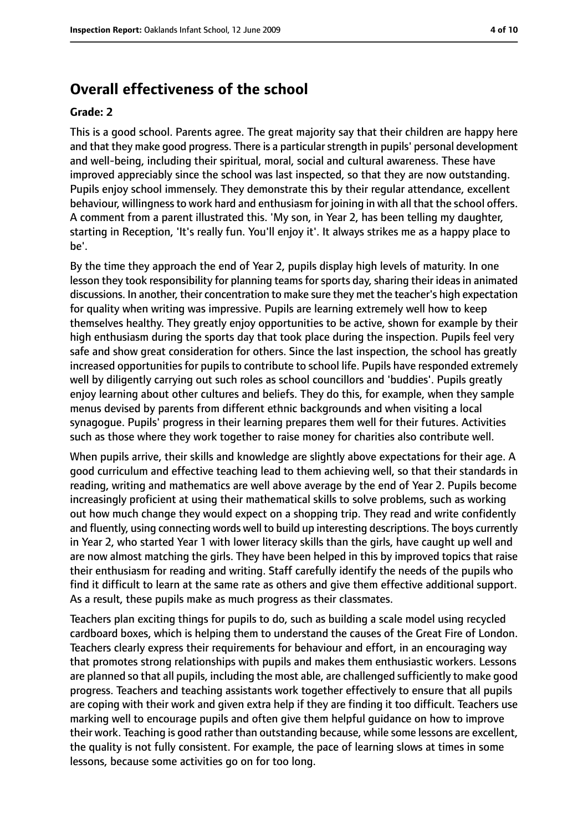#### **Overall effectiveness of the school**

#### **Grade: 2**

This is a good school. Parents agree. The great majority say that their children are happy here and that they make good progress. There is a particular strength in pupils' personal development and well-being, including their spiritual, moral, social and cultural awareness. These have improved appreciably since the school was last inspected, so that they are now outstanding. Pupils enjoy school immensely. They demonstrate this by their regular attendance, excellent behaviour, willingness to work hard and enthusiasm for joining in with all that the school offers. A comment from a parent illustrated this. 'My son, in Year 2, has been telling my daughter, starting in Reception, 'It's really fun. You'll enjoy it'. It always strikes me as a happy place to be'.

By the time they approach the end of Year 2, pupils display high levels of maturity. In one lesson they took responsibility for planning teams for sports day, sharing their ideas in animated discussions. In another, their concentration to make sure they met the teacher's high expectation for quality when writing was impressive. Pupils are learning extremely well how to keep themselves healthy. They greatly enjoy opportunities to be active, shown for example by their high enthusiasm during the sports day that took place during the inspection. Pupils feel very safe and show great consideration for others. Since the last inspection, the school has greatly increased opportunities for pupils to contribute to school life. Pupils have responded extremely well by diligently carrying out such roles as school councillors and 'buddies'. Pupils greatly enjoy learning about other cultures and beliefs. They do this, for example, when they sample menus devised by parents from different ethnic backgrounds and when visiting a local synagogue. Pupils' progress in their learning prepares them well for their futures. Activities such as those where they work together to raise money for charities also contribute well.

When pupils arrive, their skills and knowledge are slightly above expectations for their age. A good curriculum and effective teaching lead to them achieving well, so that their standards in reading, writing and mathematics are well above average by the end of Year 2. Pupils become increasingly proficient at using their mathematical skills to solve problems, such as working out how much change they would expect on a shopping trip. They read and write confidently and fluently, using connecting words well to build up interesting descriptions. The boys currently in Year 2, who started Year 1 with lower literacy skills than the girls, have caught up well and are now almost matching the girls. They have been helped in this by improved topics that raise their enthusiasm for reading and writing. Staff carefully identify the needs of the pupils who find it difficult to learn at the same rate as others and give them effective additional support. As a result, these pupils make as much progress as their classmates.

Teachers plan exciting things for pupils to do, such as building a scale model using recycled cardboard boxes, which is helping them to understand the causes of the Great Fire of London. Teachers clearly express their requirements for behaviour and effort, in an encouraging way that promotes strong relationships with pupils and makes them enthusiastic workers. Lessons are planned so that all pupils, including the most able, are challenged sufficiently to make good progress. Teachers and teaching assistants work together effectively to ensure that all pupils are coping with their work and given extra help if they are finding it too difficult. Teachers use marking well to encourage pupils and often give them helpful guidance on how to improve their work. Teaching is good rather than outstanding because, while some lessons are excellent, the quality is not fully consistent. For example, the pace of learning slows at times in some lessons, because some activities go on for too long.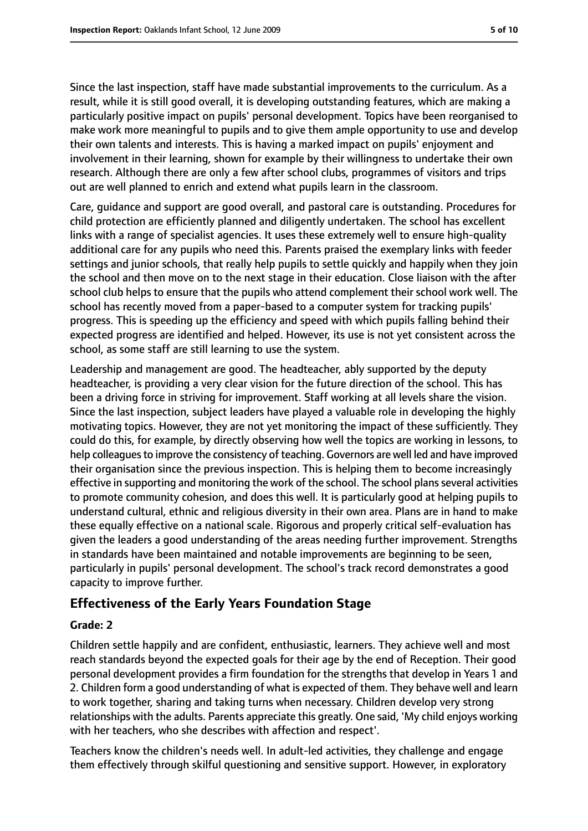Since the last inspection, staff have made substantial improvements to the curriculum. As a result, while it is still good overall, it is developing outstanding features, which are making a particularly positive impact on pupils' personal development. Topics have been reorganised to make work more meaningful to pupils and to give them ample opportunity to use and develop their own talents and interests. This is having a marked impact on pupils' enjoyment and involvement in their learning, shown for example by their willingness to undertake their own research. Although there are only a few after school clubs, programmes of visitors and trips out are well planned to enrich and extend what pupils learn in the classroom.

Care, guidance and support are good overall, and pastoral care is outstanding. Procedures for child protection are efficiently planned and diligently undertaken. The school has excellent links with a range of specialist agencies. It uses these extremely well to ensure high-quality additional care for any pupils who need this. Parents praised the exemplary links with feeder settings and junior schools, that really help pupils to settle quickly and happily when they join the school and then move on to the next stage in their education. Close liaison with the after school club helps to ensure that the pupils who attend complement their school work well. The school has recently moved from a paper-based to a computer system for tracking pupils' progress. This is speeding up the efficiency and speed with which pupils falling behind their expected progress are identified and helped. However, its use is not yet consistent across the school, as some staff are still learning to use the system.

Leadership and management are good. The headteacher, ably supported by the deputy headteacher, is providing a very clear vision for the future direction of the school. This has been a driving force in striving for improvement. Staff working at all levels share the vision. Since the last inspection, subject leaders have played a valuable role in developing the highly motivating topics. However, they are not yet monitoring the impact of these sufficiently. They could do this, for example, by directly observing how well the topics are working in lessons, to help colleagues to improve the consistency of teaching. Governors are well led and have improved their organisation since the previous inspection. This is helping them to become increasingly effective in supporting and monitoring the work of the school. The school plans several activities to promote community cohesion, and does this well. It is particularly good at helping pupils to understand cultural, ethnic and religious diversity in their own area. Plans are in hand to make these equally effective on a national scale. Rigorous and properly critical self-evaluation has given the leaders a good understanding of the areas needing further improvement. Strengths in standards have been maintained and notable improvements are beginning to be seen, particularly in pupils' personal development. The school's track record demonstrates a good capacity to improve further.

#### **Effectiveness of the Early Years Foundation Stage**

#### **Grade: 2**

Children settle happily and are confident, enthusiastic, learners. They achieve well and most reach standards beyond the expected goals for their age by the end of Reception. Their good personal development provides a firm foundation for the strengths that develop in Years 1 and 2. Children form a good understanding of what is expected of them. They behave well and learn to work together, sharing and taking turns when necessary. Children develop very strong relationships with the adults. Parents appreciate this greatly. One said, 'My child enjoys working with her teachers, who she describes with affection and respect'.

Teachers know the children's needs well. In adult-led activities, they challenge and engage them effectively through skilful questioning and sensitive support. However, in exploratory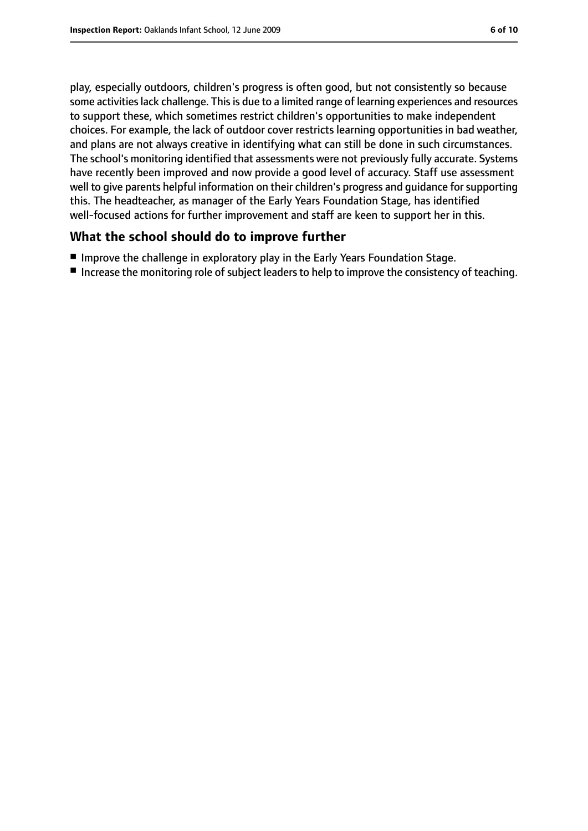play, especially outdoors, children's progress is often good, but not consistently so because some activities lack challenge. This is due to a limited range of learning experiences and resources to support these, which sometimes restrict children's opportunities to make independent choices. For example, the lack of outdoor cover restricts learning opportunities in bad weather, and plans are not always creative in identifying what can still be done in such circumstances. The school's monitoring identified that assessments were not previously fully accurate. Systems have recently been improved and now provide a good level of accuracy. Staff use assessment well to give parents helpful information on their children's progress and guidance for supporting this. The headteacher, as manager of the Early Years Foundation Stage, has identified well-focused actions for further improvement and staff are keen to support her in this.

#### **What the school should do to improve further**

- Improve the challenge in exploratory play in the Early Years Foundation Stage.
- Increase the monitoring role of subject leaders to help to improve the consistency of teaching.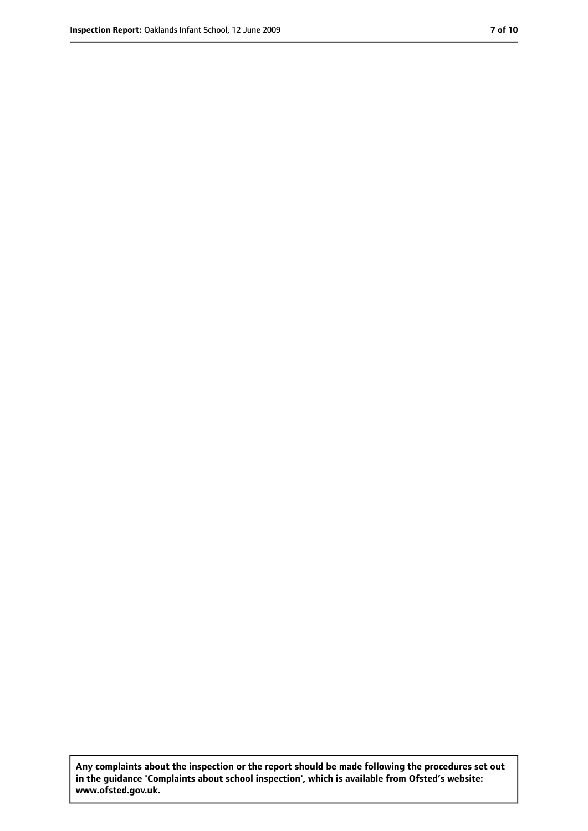**Any complaints about the inspection or the report should be made following the procedures set out in the guidance 'Complaints about school inspection', which is available from Ofsted's website: www.ofsted.gov.uk.**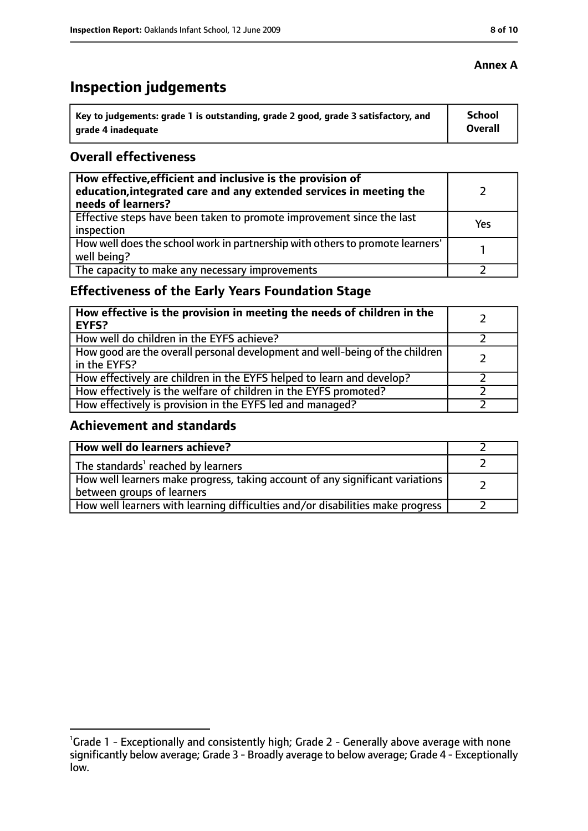# **Inspection judgements**

| \ Key to judgements: grade 1 is outstanding, grade 2 good, grade 3 satisfactory, and | <b>School</b>  |
|--------------------------------------------------------------------------------------|----------------|
| arade 4 inadequate                                                                   | <b>Overall</b> |

#### **Overall effectiveness**

| How effective, efficient and inclusive is the provision of<br>education, integrated care and any extended services in meeting the<br>needs of learners? |     |
|---------------------------------------------------------------------------------------------------------------------------------------------------------|-----|
| Effective steps have been taken to promote improvement since the last<br>inspection                                                                     | Yes |
| How well does the school work in partnership with others to promote learners'<br>well being?                                                            |     |
| The capacity to make any necessary improvements                                                                                                         |     |

### **Effectiveness of the Early Years Foundation Stage**

| How effective is the provision in meeting the needs of children in the<br><b>EYFS?</b>       |  |
|----------------------------------------------------------------------------------------------|--|
| How well do children in the EYFS achieve?                                                    |  |
| How good are the overall personal development and well-being of the children<br>in the EYFS? |  |
| How effectively are children in the EYFS helped to learn and develop?                        |  |
| How effectively is the welfare of children in the EYFS promoted?                             |  |
| How effectively is provision in the EYFS led and managed?                                    |  |

#### **Achievement and standards**

| How well do learners achieve?                                                  |  |
|--------------------------------------------------------------------------------|--|
| $\vert$ The standards <sup>1</sup> reached by learners                         |  |
| How well learners make progress, taking account of any significant variations  |  |
| between groups of learners                                                     |  |
| How well learners with learning difficulties and/or disabilities make progress |  |

#### **Annex A**

<sup>&</sup>lt;sup>1</sup>Grade 1 - Exceptionally and consistently high; Grade 2 - Generally above average with none significantly below average; Grade 3 - Broadly average to below average; Grade 4 - Exceptionally low.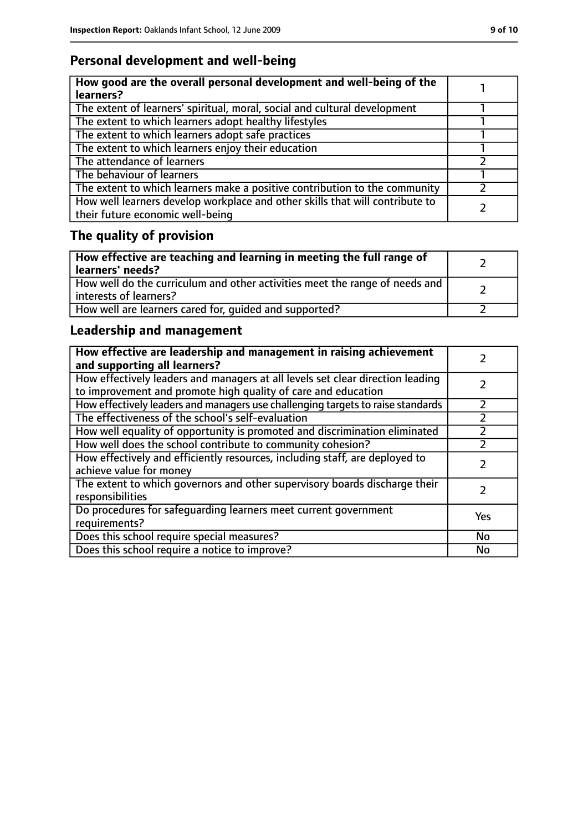### **Personal development and well-being**

| How good are the overall personal development and well-being of the<br>learners?                                 |  |
|------------------------------------------------------------------------------------------------------------------|--|
| The extent of learners' spiritual, moral, social and cultural development                                        |  |
| The extent to which learners adopt healthy lifestyles                                                            |  |
| The extent to which learners adopt safe practices                                                                |  |
| The extent to which learners enjoy their education                                                               |  |
| The attendance of learners                                                                                       |  |
| The behaviour of learners                                                                                        |  |
| The extent to which learners make a positive contribution to the community                                       |  |
| How well learners develop workplace and other skills that will contribute to<br>their future economic well-being |  |

# **The quality of provision**

| How effective are teaching and learning in meeting the full range of<br>learners' needs?              |  |
|-------------------------------------------------------------------------------------------------------|--|
| How well do the curriculum and other activities meet the range of needs and<br>interests of learners? |  |
| How well are learners cared for, quided and supported?                                                |  |

### **Leadership and management**

| How effective are leadership and management in raising achievement<br>and supporting all learners?                                              |     |
|-------------------------------------------------------------------------------------------------------------------------------------------------|-----|
| How effectively leaders and managers at all levels set clear direction leading<br>to improvement and promote high quality of care and education |     |
| How effectively leaders and managers use challenging targets to raise standards                                                                 |     |
| The effectiveness of the school's self-evaluation                                                                                               |     |
| How well equality of opportunity is promoted and discrimination eliminated                                                                      |     |
| How well does the school contribute to community cohesion?                                                                                      |     |
| How effectively and efficiently resources, including staff, are deployed to<br>achieve value for money                                          |     |
| The extent to which governors and other supervisory boards discharge their<br>responsibilities                                                  |     |
| Do procedures for safequarding learners meet current government<br>requirements?                                                                | Yes |
| Does this school require special measures?                                                                                                      | No  |
| Does this school require a notice to improve?                                                                                                   | No  |